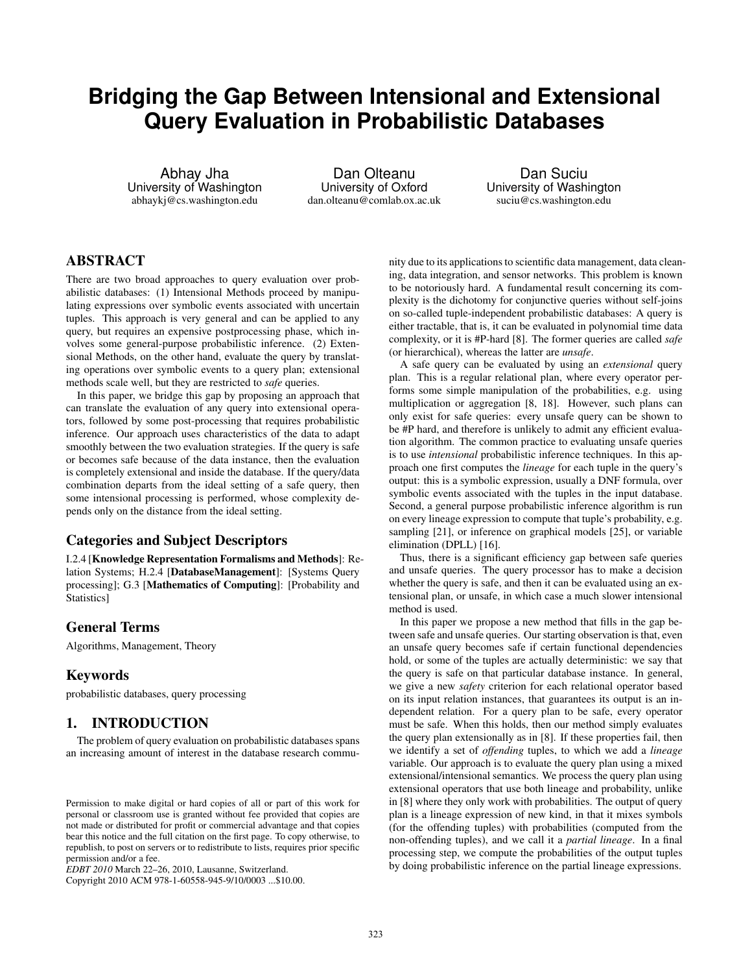# **Bridging the Gap Between Intensional and Extensional Query Evaluation in Probabilistic Databases**

Abhay Jha University of Washington abhaykj@cs.washington.edu

Dan Olteanu University of Oxford dan.olteanu@comlab.ox.ac.uk

Dan Suciu University of Washington suciu@cs.washington.edu

# ABSTRACT

There are two broad approaches to query evaluation over probabilistic databases: (1) Intensional Methods proceed by manipulating expressions over symbolic events associated with uncertain tuples. This approach is very general and can be applied to any query, but requires an expensive postprocessing phase, which involves some general-purpose probabilistic inference. (2) Extensional Methods, on the other hand, evaluate the query by translating operations over symbolic events to a query plan; extensional methods scale well, but they are restricted to *safe* queries.

In this paper, we bridge this gap by proposing an approach that can translate the evaluation of any query into extensional operators, followed by some post-processing that requires probabilistic inference. Our approach uses characteristics of the data to adapt smoothly between the two evaluation strategies. If the query is safe or becomes safe because of the data instance, then the evaluation is completely extensional and inside the database. If the query/data combination departs from the ideal setting of a safe query, then some intensional processing is performed, whose complexity depends only on the distance from the ideal setting.

# Categories and Subject Descriptors

I.2.4 [Knowledge Representation Formalisms and Methods]: Relation Systems; H.2.4 [DatabaseManagement]: [Systems Query processing]; G.3 [Mathematics of Computing]: [Probability and Statistics]

# General Terms

Algorithms, Management, Theory

# Keywords

probabilistic databases, query processing

# 1. INTRODUCTION

The problem of query evaluation on probabilistic databases spans an increasing amount of interest in the database research commu-

Copyright 2010 ACM 978-1-60558-945-9/10/0003 ...\$10.00.

nity due to its applications to scientific data management, data cleaning, data integration, and sensor networks. This problem is known to be notoriously hard. A fundamental result concerning its complexity is the dichotomy for conjunctive queries without self-joins on so-called tuple-independent probabilistic databases: A query is either tractable, that is, it can be evaluated in polynomial time data complexity, or it is #P-hard [8]. The former queries are called *safe* (or hierarchical), whereas the latter are *unsafe*.

A safe query can be evaluated by using an *extensional* query plan. This is a regular relational plan, where every operator performs some simple manipulation of the probabilities, e.g. using multiplication or aggregation [8, 18]. However, such plans can only exist for safe queries: every unsafe query can be shown to be #P hard, and therefore is unlikely to admit any efficient evaluation algorithm. The common practice to evaluating unsafe queries is to use *intensional* probabilistic inference techniques. In this approach one first computes the *lineage* for each tuple in the query's output: this is a symbolic expression, usually a DNF formula, over symbolic events associated with the tuples in the input database. Second, a general purpose probabilistic inference algorithm is run on every lineage expression to compute that tuple's probability, e.g. sampling [21], or inference on graphical models [25], or variable elimination (DPLL) [16].

Thus, there is a significant efficiency gap between safe queries and unsafe queries. The query processor has to make a decision whether the query is safe, and then it can be evaluated using an extensional plan, or unsafe, in which case a much slower intensional method is used.

In this paper we propose a new method that fills in the gap between safe and unsafe queries. Our starting observation is that, even an unsafe query becomes safe if certain functional dependencies hold, or some of the tuples are actually deterministic: we say that the query is safe on that particular database instance. In general, we give a new *safety* criterion for each relational operator based on its input relation instances, that guarantees its output is an independent relation. For a query plan to be safe, every operator must be safe. When this holds, then our method simply evaluates the query plan extensionally as in [8]. If these properties fail, then we identify a set of *offending* tuples, to which we add a *lineage* variable. Our approach is to evaluate the query plan using a mixed extensional/intensional semantics. We process the query plan using extensional operators that use both lineage and probability, unlike in [8] where they only work with probabilities. The output of query plan is a lineage expression of new kind, in that it mixes symbols (for the offending tuples) with probabilities (computed from the non-offending tuples), and we call it a *partial lineage*. In a final processing step, we compute the probabilities of the output tuples by doing probabilistic inference on the partial lineage expressions.

Permission to make digital or hard copies of all or part of this work for personal or classroom use is granted without fee provided that copies are not made or distributed for profit or commercial advantage and that copies bear this notice and the full citation on the first page. To copy otherwise, to republish, to post on servers or to redistribute to lists, requires prior specific permission and/or a fee.

*EDBT 2010* March 22–26, 2010, Lausanne, Switzerland.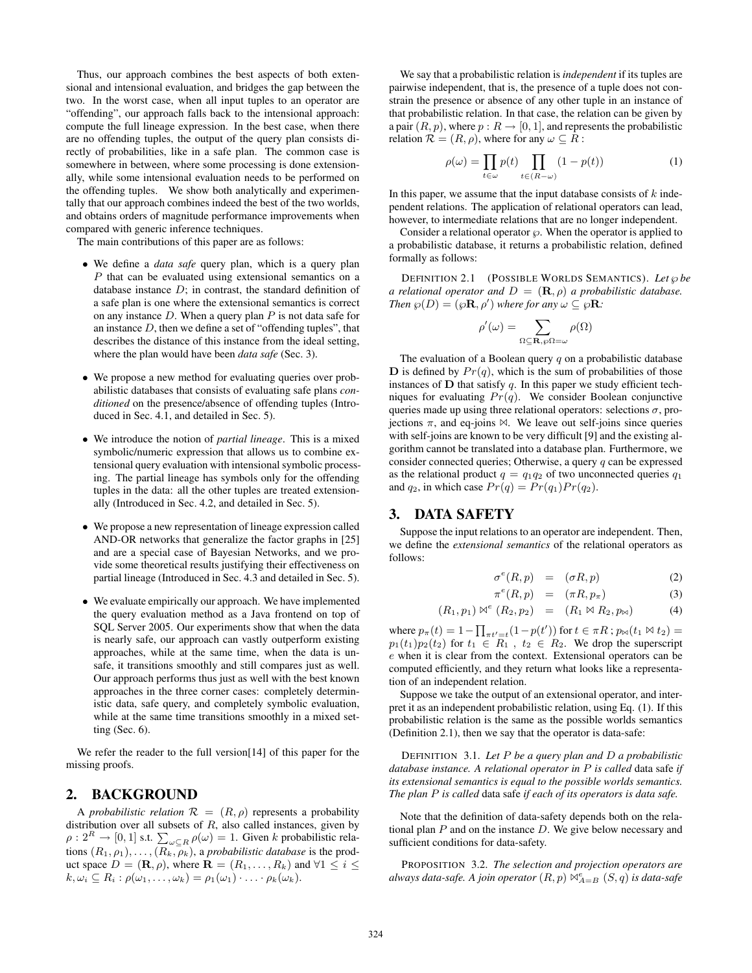Thus, our approach combines the best aspects of both extensional and intensional evaluation, and bridges the gap between the two. In the worst case, when all input tuples to an operator are "offending", our approach falls back to the intensional approach: compute the full lineage expression. In the best case, when there are no offending tuples, the output of the query plan consists directly of probabilities, like in a safe plan. The common case is somewhere in between, where some processing is done extensionally, while some intensional evaluation needs to be performed on the offending tuples. We show both analytically and experimentally that our approach combines indeed the best of the two worlds, and obtains orders of magnitude performance improvements when compared with generic inference techniques.

The main contributions of this paper are as follows:

- We define a *data safe* query plan, which is a query plan P that can be evaluated using extensional semantics on a database instance  $D$ ; in contrast, the standard definition of a safe plan is one where the extensional semantics is correct on any instance  $D$ . When a query plan  $P$  is not data safe for an instance D, then we define a set of "offending tuples", that describes the distance of this instance from the ideal setting, where the plan would have been *data safe* (Sec. 3).
- We propose a new method for evaluating queries over probabilistic databases that consists of evaluating safe plans *conditioned* on the presence/absence of offending tuples (Introduced in Sec. 4.1, and detailed in Sec. 5).
- We introduce the notion of *partial lineage*. This is a mixed symbolic/numeric expression that allows us to combine extensional query evaluation with intensional symbolic processing. The partial lineage has symbols only for the offending tuples in the data: all the other tuples are treated extensionally (Introduced in Sec. 4.2, and detailed in Sec. 5).
- We propose a new representation of lineage expression called AND-OR networks that generalize the factor graphs in [25] and are a special case of Bayesian Networks, and we provide some theoretical results justifying their effectiveness on partial lineage (Introduced in Sec. 4.3 and detailed in Sec. 5).
- We evaluate empirically our approach. We have implemented the query evaluation method as a Java frontend on top of SQL Server 2005. Our experiments show that when the data is nearly safe, our approach can vastly outperform existing approaches, while at the same time, when the data is unsafe, it transitions smoothly and still compares just as well. Our approach performs thus just as well with the best known approaches in the three corner cases: completely deterministic data, safe query, and completely symbolic evaluation, while at the same time transitions smoothly in a mixed setting (Sec. 6).

We refer the reader to the full version [14] of this paper for the missing proofs.

#### 2. BACKGROUND

A *probabilistic relation*  $\mathcal{R} = (R, \rho)$  represents a probability distribution over all subsets of  $R$ , also called instances, given by  $\rho: 2^R \to [0,1]$  s.t.  $\sum_{\omega \subseteq R} \rho(\omega) = 1$ . Given k probabilistic relations  $(R_1, \rho_1), \ldots, (R_k, \rho_k)$ , a *probabilistic database* is the product space  $D = (\mathbf{R}, \rho)$ , where  $\mathbf{R} = (R_1, \dots, R_k)$  and  $\forall 1 \leq i \leq$  $k, \omega_i \subseteq R_i : \rho(\omega_1, \ldots, \omega_k) = \rho_1(\omega_1) \cdot \ldots \cdot \rho_k(\omega_k).$ 

We say that a probabilistic relation is *independent* if its tuples are pairwise independent, that is, the presence of a tuple does not constrain the presence or absence of any other tuple in an instance of that probabilistic relation. In that case, the relation can be given by a pair  $(R, p)$ , where  $p: R \to [0, 1]$ , and represents the probabilistic relation  $\mathcal{R} = (R, \rho)$ , where for any  $\omega \subset R$ :

$$
\rho(\omega) = \prod_{t \in \omega} p(t) \prod_{t \in (R - \omega)} (1 - p(t)) \tag{1}
$$

In this paper, we assume that the input database consists of  $k$  independent relations. The application of relational operators can lead, however, to intermediate relations that are no longer independent.

Consider a relational operator  $\wp$ . When the operator is applied to a probabilistic database, it returns a probabilistic relation, defined formally as follows:

DEFINITION 2.1 (POSSIBLE WORLDS SEMANTICS). Let  $\wp$  be *a relational operator and*  $D = (\mathbf{R}, \rho)$  *a probabilistic database. Then*  $\wp(D) = (\wp \mathbf{R}, \rho')$  where for any  $\omega \subseteq \wp \mathbf{R}$ :

$$
\rho'(\omega) = \sum_{\Omega \subseteq \mathbf{R}, \wp \Omega = \omega} \rho(\Omega)
$$

The evaluation of a Boolean query  $q$  on a probabilistic database  $\mathbf D$  is defined by  $Pr(q)$ , which is the sum of probabilities of those instances of  $D$  that satisfy  $q$ . In this paper we study efficient techniques for evaluating  $Pr(q)$ . We consider Boolean conjunctive queries made up using three relational operators: selections  $\sigma$ , projections  $\pi$ , and eq-joins  $\bowtie$ . We leave out self-joins since queries with self-joins are known to be very difficult [9] and the existing algorithm cannot be translated into a database plan. Furthermore, we consider connected queries; Otherwise, a query  $q$  can be expressed as the relational product  $q = q_1q_2$  of two unconnected queries  $q_1$ and  $q_2$ , in which case  $Pr(q) = Pr(q_1)Pr(q_2)$ .

# 3. DATA SAFETY

Suppose the input relations to an operator are independent. Then, we define the *extensional semantics* of the relational operators as follows:

$$
\sigma^e(R, p) = (\sigma R, p) \tag{2}
$$

$$
\pi^e(R, p) = (\pi R, p_\pi) \tag{3}
$$

$$
(R_1, p_1) \bowtie^e (R_2, p_2) = (R_1 \bowtie R_2, p_{\bowtie}) \tag{4}
$$

where  $p_{\pi}(t) = 1 - \prod_{\pi t' = t} (1 - p(t'))$  for  $t \in \pi R$ ;  $p_{\bowtie}(t_1 \bowtie t_2) =$  $p_1(t_1)p_2(t_2)$  for  $t_1 \in R_1$ ,  $t_2 \in R_2$ . We drop the superscript e when it is clear from the context. Extensional operators can be computed efficiently, and they return what looks like a representation of an independent relation.

Suppose we take the output of an extensional operator, and interpret it as an independent probabilistic relation, using Eq. (1). If this probabilistic relation is the same as the possible worlds semantics (Definition 2.1), then we say that the operator is data-safe:

DEFINITION 3.1. *Let* P *be a query plan and* D *a probabilistic database instance. A relational operator in* P *is called* data safe *if its extensional semantics is equal to the possible worlds semantics. The plan* P *is called* data safe *if each of its operators is data safe.*

Note that the definition of data-safety depends both on the relational plan  $P$  and on the instance  $D$ . We give below necessary and sufficient conditions for data-safety.

PROPOSITION 3.2. *The selection and projection operators are* always data-safe. A join operator  $(R, p) \bowtie_{A=B}^e (S, q)$  is data-safe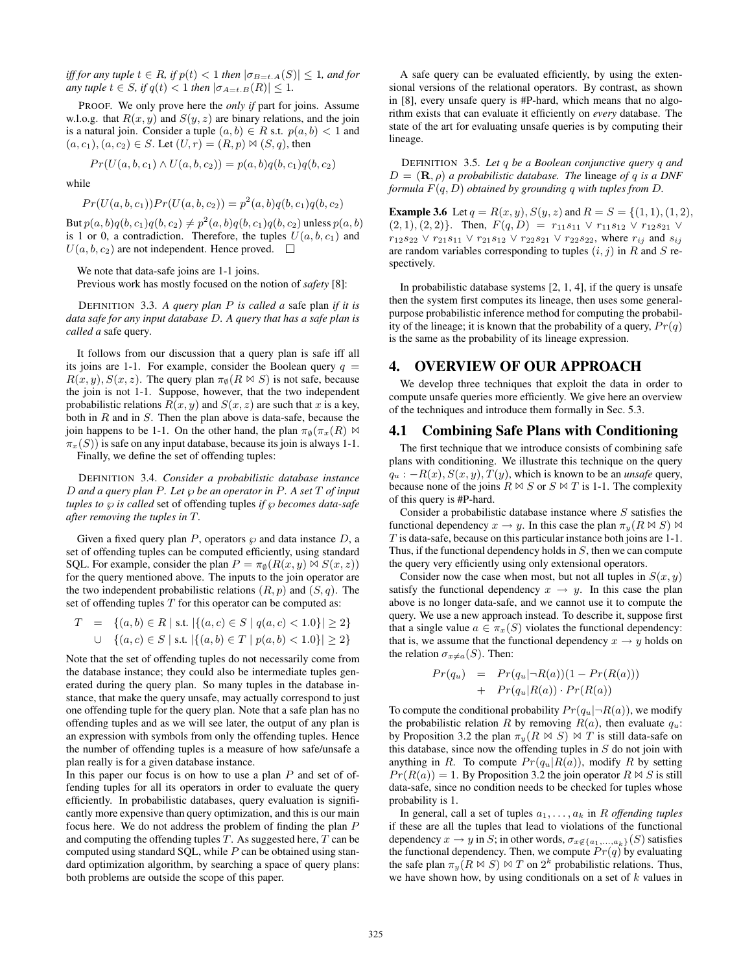*iff for any tuple*  $t \in R$ *, if*  $p(t) < 1$  *then*  $|\sigma_{B=t.A}(S)| \leq 1$ *, and for any tuple*  $t \in S$ *, if*  $q(t) < 1$  *then*  $|\sigma_{A=t,B}(R)| \leq 1$ *.* 

PROOF. We only prove here the *only if* part for joins. Assume w.l.o.g. that  $R(x, y)$  and  $S(y, z)$  are binary relations, and the join is a natural join. Consider a tuple  $(a, b) \in R$  s.t.  $p(a, b) < 1$  and  $(a, c_1), (a, c_2) \in S$ . Let  $(U, r) = (R, p) \bowtie (S, q)$ , then

$$
Pr(U(a, b, c_1) \wedge U(a, b, c_2)) = p(a, b)q(b, c_1)q(b, c_2)
$$

while

$$
Pr(U(a, b, c_1)) Pr(U(a, b, c_2)) = p2(a, b)q(b, c_1)q(b, c_2)
$$

But  $p(a, b)q(b, c_1)q(b, c_2) \neq p^2(a, b)q(b, c_1)q(b, c_2)$  unless  $p(a, b)$ is 1 or 0, a contradiction. Therefore, the tuples  $U(a, b, c_1)$  and  $U(a, b, c_2)$  are not independent. Hence proved.  $\square$ 

We note that data-safe joins are 1-1 joins.

Previous work has mostly focused on the notion of *safety* [8]:

DEFINITION 3.3. *A query plan* P *is called a* safe plan *if it is data safe for any input database* D*. A query that has a safe plan is called a* safe query*.*

It follows from our discussion that a query plan is safe iff all its joins are 1-1. For example, consider the Boolean query  $q =$  $R(x, y), S(x, z)$ . The query plan  $\pi_{\emptyset}(R \bowtie S)$  is not safe, because the join is not 1-1. Suppose, however, that the two independent probabilistic relations  $R(x, y)$  and  $S(x, z)$  are such that x is a key, both in  $R$  and in  $S$ . Then the plan above is data-safe, because the join happens to be 1-1. On the other hand, the plan  $\pi_{\emptyset}(\pi_x(R)) \bowtie$  $\pi_x(S)$ ) is safe on any input database, because its join is always 1-1.

Finally, we define the set of offending tuples:

DEFINITION 3.4. *Consider a probabilistic database instance* D *and a query plan* P*. Let* ℘ *be an operator in* P*. A set* T *of input tuples to*  $\wp$  *is called* set of offending tuples *if*  $\wp$  *becomes data-safe after removing the tuples in* T*.*

Given a fixed query plan  $P$ , operators  $\wp$  and data instance  $D$ , a set of offending tuples can be computed efficiently, using standard SQL. For example, consider the plan  $P = \pi_{\emptyset}(R(x, y) \bowtie S(x, z))$ for the query mentioned above. The inputs to the join operator are the two independent probabilistic relations  $(R, p)$  and  $(S, q)$ . The set of offending tuples  $T$  for this operator can be computed as:

$$
T = \{(a, b) \in R \mid \text{s.t.} \left| \{(a, c) \in S \mid q(a, c) < 1.0\} \right| \ge 2 \}
$$
  

$$
\cup \{(a, c) \in S \mid \text{s.t.} \left| \{(a, b) \in T \mid p(a, b) < 1.0\} \right| \ge 2 \}
$$

Note that the set of offending tuples do not necessarily come from the database instance; they could also be intermediate tuples generated during the query plan. So many tuples in the database instance, that make the query unsafe, may actually correspond to just one offending tuple for the query plan. Note that a safe plan has no offending tuples and as we will see later, the output of any plan is an expression with symbols from only the offending tuples. Hence the number of offending tuples is a measure of how safe/unsafe a plan really is for a given database instance.

In this paper our focus is on how to use a plan  $P$  and set of offending tuples for all its operators in order to evaluate the query efficiently. In probabilistic databases, query evaluation is significantly more expensive than query optimization, and this is our main focus here. We do not address the problem of finding the plan P and computing the offending tuples  $T$ . As suggested here,  $T$  can be computed using standard SQL, while  $P$  can be obtained using standard optimization algorithm, by searching a space of query plans: both problems are outside the scope of this paper.

A safe query can be evaluated efficiently, by using the extensional versions of the relational operators. By contrast, as shown in [8], every unsafe query is #P-hard, which means that no algorithm exists that can evaluate it efficiently on *every* database. The state of the art for evaluating unsafe queries is by computing their lineage.

DEFINITION 3.5. *Let* q *be a Boolean conjunctive query* q *and*  $D = (\mathbf{R}, \rho)$  *a probabilistic database. The lineage of q is a DNF formula* F(q, D) *obtained by grounding* q *with tuples from* D*.*

**Example 3.6** Let  $q = R(x, y), S(y, z)$  and  $R = S = \{(1, 1), (1, 2),$  $(2, 1), (2, 2)$ . Then,  $F(q, D) = r_{11}s_{11} \vee r_{11}s_{12} \vee r_{12}s_{21} \vee$  $r_{12}s_{22} \vee r_{21}s_{11} \vee r_{21}s_{12} \vee r_{22}s_{21} \vee r_{22}s_{22}$ , where  $r_{ij}$  and  $s_{ij}$ are random variables corresponding to tuples  $(i, j)$  in R and S respectively.

In probabilistic database systems  $[2, 1, 4]$ , if the query is unsafe then the system first computes its lineage, then uses some generalpurpose probabilistic inference method for computing the probability of the lineage; it is known that the probability of a query,  $Pr(q)$ is the same as the probability of its lineage expression.

# 4. OVERVIEW OF OUR APPROACH

We develop three techniques that exploit the data in order to compute unsafe queries more efficiently. We give here an overview of the techniques and introduce them formally in Sec. 5.3.

# 4.1 Combining Safe Plans with Conditioning

The first technique that we introduce consists of combining safe plans with conditioning. We illustrate this technique on the query  $q_u$  :  $-R(x)$ ,  $S(x, y)$ ,  $T(y)$ , which is known to be an *unsafe* query, because none of the joins  $R \bowtie S$  or  $S \bowtie T$  is 1-1. The complexity of this query is #P-hard.

Consider a probabilistic database instance where  $S$  satisfies the functional dependency  $x \to y$ . In this case the plan  $\pi_y(R \bowtie S)$   $\bowtie$ T is data-safe, because on this particular instance both joins are 1-1. Thus, if the functional dependency holds in S, then we can compute the query very efficiently using only extensional operators.

Consider now the case when most, but not all tuples in  $S(x, y)$ satisfy the functional dependency  $x \rightarrow y$ . In this case the plan above is no longer data-safe, and we cannot use it to compute the query. We use a new approach instead. To describe it, suppose first that a single value  $a \in \pi_x(S)$  violates the functional dependency: that is, we assume that the functional dependency  $x \rightarrow y$  holds on the relation  $\sigma_{x\neq a}(S)$ . Then:

$$
Pr(q_u) = Pr(q_u|\neg R(a))(1 - Pr(R(a)))
$$
  
+ 
$$
Pr(q_u|R(a)) \cdot Pr(R(a))
$$

To compute the conditional probability  $Pr(q_u | \neg R(a))$ , we modify the probabilistic relation R by removing  $R(a)$ , then evaluate  $q_u$ : by Proposition 3.2 the plan  $\pi_y(R \Join S) \Join T$  is still data-safe on this database, since now the offending tuples in  $S$  do not join with anything in R. To compute  $Pr(q_u|R(a))$ , modify R by setting  $Pr(R(a)) = 1$ . By Proposition 3.2 the join operator  $R \bowtie S$  is still data-safe, since no condition needs to be checked for tuples whose probability is 1.

In general, call a set of tuples  $a_1, \ldots, a_k$  in R *offending tuples* if these are all the tuples that lead to violations of the functional dependency  $x \to y$  in S; in other words,  $\sigma_{x \notin \{a_1,...,a_k\}}(S)$  satisfies the functional dependency. Then, we compute  $Pr(q)$  by evaluating the safe plan  $\pi_y(R \bowtie S) \bowtie T$  on  $2^k$  probabilistic relations. Thus, we have shown how, by using conditionals on a set of  $k$  values in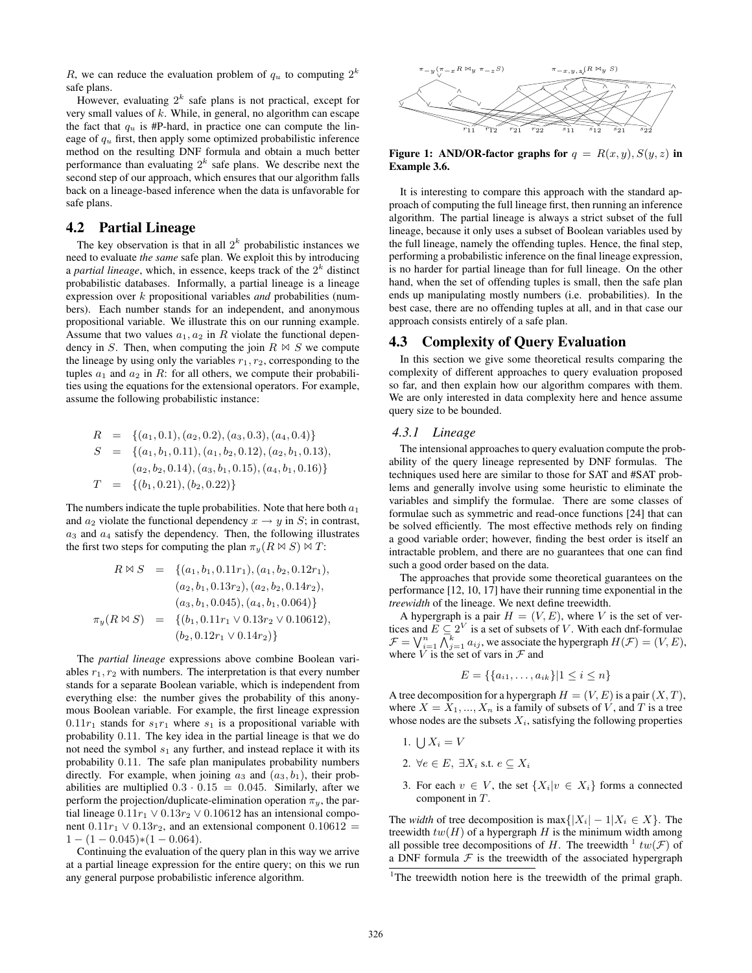R, we can reduce the evaluation problem of  $q_u$  to computing  $2^k$ safe plans.

However, evaluating  $2^k$  safe plans is not practical, except for very small values of  $k$ . While, in general, no algorithm can escape the fact that  $q_u$  is #P-hard, in practice one can compute the lineage of  $q_u$  first, then apply some optimized probabilistic inference method on the resulting DNF formula and obtain a much better performance than evaluating  $2^k$  safe plans. We describe next the second step of our approach, which ensures that our algorithm falls back on a lineage-based inference when the data is unfavorable for safe plans.

# 4.2 Partial Lineage

The key observation is that in all  $2<sup>k</sup>$  probabilistic instances we need to evaluate *the same* safe plan. We exploit this by introducing a *partial lineage*, which, in essence, keeps track of the  $2<sup>k</sup>$  distinct probabilistic databases. Informally, a partial lineage is a lineage expression over k propositional variables *and* probabilities (numbers). Each number stands for an independent, and anonymous propositional variable. We illustrate this on our running example. Assume that two values  $a_1, a_2$  in R violate the functional dependency in S. Then, when computing the join  $R \bowtie S$  we compute the lineage by using only the variables  $r_1, r_2$ , corresponding to the tuples  $a_1$  and  $a_2$  in R: for all others, we compute their probabilities using the equations for the extensional operators. For example, assume the following probabilistic instance:

$$
R = \{(a_1, 0.1), (a_2, 0.2), (a_3, 0.3), (a_4, 0.4)\}
$$
  
\n
$$
S = \{(a_1, b_1, 0.11), (a_1, b_2, 0.12), (a_2, b_1, 0.13), (a_2, b_2, 0.14), (a_3, b_1, 0.15), (a_4, b_1, 0.16)\}
$$
  
\n
$$
T = \{(b_1, 0.21), (b_2, 0.22)\}
$$

The numbers indicate the tuple probabilities. Note that here both  $a_1$ and  $a_2$  violate the functional dependency  $x \to y$  in S; in contrast,  $a_3$  and  $a_4$  satisfy the dependency. Then, the following illustrates the first two steps for computing the plan  $\pi_y(R \bowtie S) \bowtie T$ :

$$
R \bowtie S = \{(a_1, b_1, 0.11r_1), (a_1, b_2, 0.12r_1),
$$
  
\n
$$
(a_2, b_1, 0.13r_2), (a_2, b_2, 0.14r_2),
$$
  
\n
$$
(a_3, b_1, 0.045), (a_4, b_1, 0.064)\}
$$
  
\n
$$
\pi_y(R \bowtie S) = \{(b_1, 0.11r_1 \vee 0.13r_2 \vee 0.10612),
$$
  
\n
$$
(b_2, 0.12r_1 \vee 0.14r_2)\}
$$

The *partial lineage* expressions above combine Boolean variables  $r_1, r_2$  with numbers. The interpretation is that every number stands for a separate Boolean variable, which is independent from everything else: the number gives the probability of this anonymous Boolean variable. For example, the first lineage expression  $0.11r_1$  stands for  $s_1r_1$  where  $s_1$  is a propositional variable with probability 0.11. The key idea in the partial lineage is that we do not need the symbol  $s_1$  any further, and instead replace it with its probability 0.11. The safe plan manipulates probability numbers directly. For example, when joining  $a_3$  and  $(a_3, b_1)$ , their probabilities are multiplied  $0.3 \cdot 0.15 = 0.045$ . Similarly, after we perform the projection/duplicate-elimination operation  $\pi_y$ , the partial lineage  $0.11r_1 \vee 0.13r_2 \vee 0.10612$  has an intensional component  $0.11r_1 \vee 0.13r_2$ , and an extensional component  $0.10612 =$  $1 - (1 - 0.045)*(1 - 0.064).$ 

Continuing the evaluation of the query plan in this way we arrive at a partial lineage expression for the entire query; on this we run any general purpose probabilistic inference algorithm.



Figure 1: AND/OR-factor graphs for  $q = R(x, y), S(y, z)$  in Example 3.6.

It is interesting to compare this approach with the standard approach of computing the full lineage first, then running an inference algorithm. The partial lineage is always a strict subset of the full lineage, because it only uses a subset of Boolean variables used by the full lineage, namely the offending tuples. Hence, the final step, performing a probabilistic inference on the final lineage expression, is no harder for partial lineage than for full lineage. On the other hand, when the set of offending tuples is small, then the safe plan ends up manipulating mostly numbers (i.e. probabilities). In the best case, there are no offending tuples at all, and in that case our approach consists entirely of a safe plan.

# 4.3 Complexity of Query Evaluation

In this section we give some theoretical results comparing the complexity of different approaches to query evaluation proposed so far, and then explain how our algorithm compares with them. We are only interested in data complexity here and hence assume query size to be bounded.

# *4.3.1 Lineage*

The intensional approaches to query evaluation compute the probability of the query lineage represented by DNF formulas. The techniques used here are similar to those for SAT and #SAT problems and generally involve using some heuristic to eliminate the variables and simplify the formulae. There are some classes of formulae such as symmetric and read-once functions [24] that can be solved efficiently. The most effective methods rely on finding a good variable order; however, finding the best order is itself an intractable problem, and there are no guarantees that one can find such a good order based on the data.

The approaches that provide some theoretical guarantees on the performance [12, 10, 17] have their running time exponential in the *treewidth* of the lineage. We next define treewidth.

A hypergraph is a pair  $H = (V, E)$ , where V is the set of vertices and  $E \subseteq 2^V$  is a set of subsets of V. With each dnf-formulae  $\mathcal{F} = \bigvee_{i=1}^n \bigwedge_{j=1}^k a_{ij}$ , we associate the hypergraph  $H(\mathcal{F}) = (V, E)$ , where  $\dot{V}$  is the set of vars in  $\mathcal F$  and

$$
E = \{\{a_{i1}, \dots, a_{ik}\} | 1 \le i \le n\}
$$

A tree decomposition for a hypergraph  $H = (V, E)$  is a pair  $(X, T)$ , where  $X = X_1, ..., X_n$  is a family of subsets of V, and T is a tree whose nodes are the subsets  $X_i$ , satisfying the following properties

- 1.  $\bigcup X_i = V$
- 2.  $\forall e \in E, \exists X_i \text{ s.t. } e \subseteq X_i$
- 3. For each  $v \in V$ , the set  $\{X_i | v \in X_i\}$  forms a connected component in T.

The *width* of tree decomposition is max $\{|X_i| - 1 | X_i \in X\}$ . The treewidth  $tw(H)$  of a hypergraph H is the minimum width among all possible tree decompositions of H. The treewidth  $\frac{1}{2} tw(F)$  of a DNF formula  $F$  is the treewidth of the associated hypergraph

<sup>&</sup>lt;sup>1</sup>The treewidth notion here is the treewidth of the primal graph.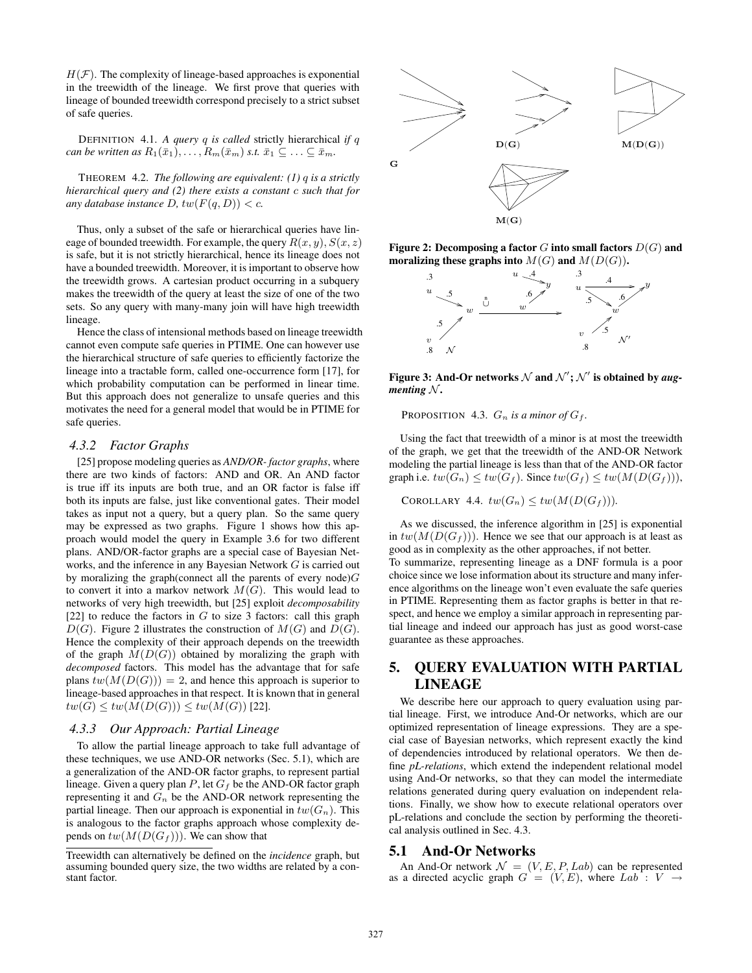$H(\mathcal{F})$ . The complexity of lineage-based approaches is exponential in the treewidth of the lineage. We first prove that queries with lineage of bounded treewidth correspond precisely to a strict subset of safe queries.

DEFINITION 4.1. *A query* q *is called* strictly hierarchical *if* q *can be written as*  $R_1(\bar{x}_1), \ldots, R_m(\bar{x}_m)$  *s.t.*  $\bar{x}_1 \subseteq \ldots \subseteq \bar{x}_m$ .

THEOREM 4.2. *The following are equivalent: (1)* q *is a strictly hierarchical query and (2) there exists a constant* c *such that for any database instance D*,  $tw(F(q, D)) < c$ *.* 

Thus, only a subset of the safe or hierarchical queries have lineage of bounded treewidth. For example, the query  $R(x, y)$ ,  $S(x, z)$ is safe, but it is not strictly hierarchical, hence its lineage does not have a bounded treewidth. Moreover, it is important to observe how the treewidth grows. A cartesian product occurring in a subquery makes the treewidth of the query at least the size of one of the two sets. So any query with many-many join will have high treewidth lineage.

Hence the class of intensional methods based on lineage treewidth cannot even compute safe queries in PTIME. One can however use the hierarchical structure of safe queries to efficiently factorize the lineage into a tractable form, called one-occurrence form [17], for which probability computation can be performed in linear time. But this approach does not generalize to unsafe queries and this motivates the need for a general model that would be in PTIME for safe queries.

#### *4.3.2 Factor Graphs*

[25] propose modeling queries as *AND/OR- factor graphs*, where there are two kinds of factors: AND and OR. An AND factor is true iff its inputs are both true, and an OR factor is false iff both its inputs are false, just like conventional gates. Their model takes as input not a query, but a query plan. So the same query may be expressed as two graphs. Figure 1 shows how this approach would model the query in Example 3.6 for two different plans. AND/OR-factor graphs are a special case of Bayesian Networks, and the inference in any Bayesian Network G is carried out by moralizing the graph(connect all the parents of every node) $G$ to convert it into a markov network  $M(G)$ . This would lead to networks of very high treewidth, but [25] exploit *decomposability* [22] to reduce the factors in  $G$  to size 3 factors: call this graph  $D(G)$ . Figure 2 illustrates the construction of  $M(G)$  and  $D(G)$ . Hence the complexity of their approach depends on the treewidth of the graph  $M(D(G))$  obtained by moralizing the graph with *decomposed* factors. This model has the advantage that for safe plans  $tw(M(D(G))) = 2$ , and hence this approach is superior to lineage-based approaches in that respect. It is known that in general  $tw(G) \leq tw(M(D(G))) \leq tw(M(G))$  [22].

#### *4.3.3 Our Approach: Partial Lineage*

To allow the partial lineage approach to take full advantage of these techniques, we use AND-OR networks (Sec. 5.1), which are a generalization of the AND-OR factor graphs, to represent partial lineage. Given a query plan  $P$ , let  $G_f$  be the AND-OR factor graph representing it and  $G_n$  be the AND-OR network representing the partial lineage. Then our approach is exponential in  $tw(G_n)$ . This is analogous to the factor graphs approach whose complexity depends on  $tw(M(D(G_f)))$ . We can show that



Figure 2: Decomposing a factor  $G$  into small factors  $D(G)$  and moralizing these graphs into  $M(G)$  and  $M(D(G))$ .



Figure 3: And-Or networks  $\mathcal N$  and  $\mathcal N';\mathcal N'$  is obtained by *augmenting*  $N$ .

PROPOSITION 4.3.  $G_n$  *is a minor of*  $G_f$ .

Using the fact that treewidth of a minor is at most the treewidth of the graph, we get that the treewidth of the AND-OR Network modeling the partial lineage is less than that of the AND-OR factor graph i.e.  $tw(G_n) \leq tw(G_f)$ . Since  $tw(G_f) \leq tw(M(D(G_f))),$ 

COROLLARY 4.4.  $tw(G_n) \leq tw(M(D(G_f)))$ .

As we discussed, the inference algorithm in [25] is exponential in  $tw(M(D(G_f)))$ . Hence we see that our approach is at least as good as in complexity as the other approaches, if not better. To summarize, representing lineage as a DNF formula is a poor choice since we lose information about its structure and many inference algorithms on the lineage won't even evaluate the safe queries in PTIME. Representing them as factor graphs is better in that respect, and hence we employ a similar approach in representing partial lineage and indeed our approach has just as good worst-case guarantee as these approaches.

# 5. QUERY EVALUATION WITH PARTIAL LINEAGE

We describe here our approach to query evaluation using partial lineage. First, we introduce And-Or networks, which are our optimized representation of lineage expressions. They are a special case of Bayesian networks, which represent exactly the kind of dependencies introduced by relational operators. We then define *pL-relations*, which extend the independent relational model using And-Or networks, so that they can model the intermediate relations generated during query evaluation on independent relations. Finally, we show how to execute relational operators over pL-relations and conclude the section by performing the theoretical analysis outlined in Sec. 4.3.

#### 5.1 And-Or Networks

An And-Or network  $\mathcal{N} = (V, E, P, Lab)$  can be represented as a directed acyclic graph  $G = (V, E)$ , where  $Lab : V \rightarrow$ 

Treewidth can alternatively be defined on the *incidence* graph, but assuming bounded query size, the two widths are related by a constant factor.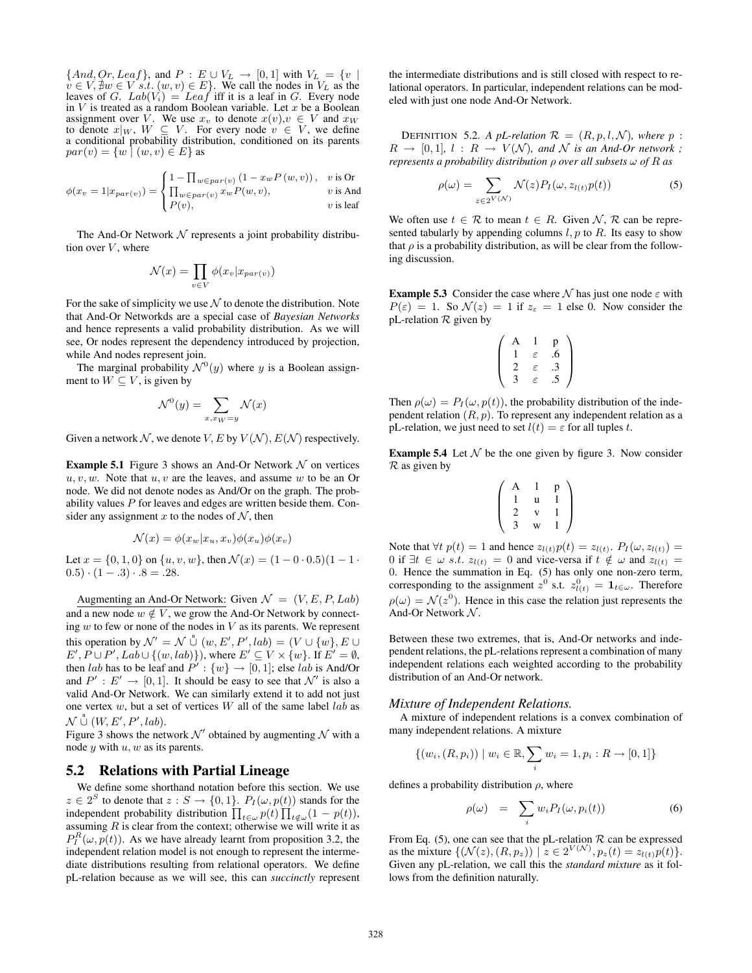${And, Qr,Leaf},$  and  $P : E \cup V_L \rightarrow [0, 1]$  with  $V_L = \{v \mid$  $v \in V, \nexists w \in V \text{ s.t. } (w, v) \in E$ . We call the nodes in  $V_L$  as the leaves of G.  $Lab(V_i) = Leaf$  iff it is a leaf in G. Every node in  $V$  is treated as a random Boolean variable. Let  $x$  be a Boolean assignment over V. We use  $x_v$  to denote  $x(v), v \in V$  and  $x_w$ to denote  $x|_W$ ,  $W \subseteq V$ . For every node  $v \in V$ , we define a conditional probability distribution, conditioned on its parents  $par(v) = \{w \mid (w, v) \in E\}$  as

$$
\phi(x_v = 1 | x_{par(v)}) = \begin{cases} 1 - \prod_{w \in par(v)} (1 - x_w P(w, v)), & v \text{ is Or} \\ \prod_{w \in par(v)} x_w P(w, v), & v \text{ is And} \\ P(v), & v \text{ is leaf} \end{cases}
$$

The And-Or Network  $N$  represents a joint probability distribution over  $V$ , where

$$
\mathcal{N}(x) = \prod_{v \in V} \phi(x_v | x_{par(v)})
$$

For the sake of simplicity we use  $\mathcal N$  to denote the distribution. Note that And-Or Networkds are a special case of *Bayesian Networks* and hence represents a valid probability distribution. As we will see, Or nodes represent the dependency introduced by projection, while And nodes represent join.

The marginal probability  $\mathcal{N}^0(y)$  where y is a Boolean assignment to  $W \subseteq V$ , is given by

$$
\mathcal{N}^0(y) = \sum_{x, x_W = y} \mathcal{N}(x)
$$

Given a network N, we denote V, E by  $V(N)$ ,  $E(N)$  respectively.

**Example 5.1** Figure 3 shows an And-Or Network  $\mathcal N$  on vertices  $u, v, w$ . Note that  $u, v$  are the leaves, and assume w to be an Or node. We did not denote nodes as And/Or on the graph. The probability values  $P$  for leaves and edges are written beside them. Consider any assignment x to the nodes of  $N$ , then

$$
\mathcal{N}(x) = \phi(x_w | x_u, x_v) \phi(x_u) \phi(x_v)
$$

Let  $x = \{0, 1, 0\}$  on  $\{u, v, w\}$ , then  $\mathcal{N}(x) = (1 - 0 \cdot 0.5)(1 - 1 \cdot \mathbf{0})$  $(0.5) \cdot (1-.3) \cdot .8 = .28.$ 

Augmenting an And-Or Network: Given  $\mathcal{N} = (V, E, P, Lab)$ and a new node  $w \notin V$ , we grow the And-Or Network by connecting  $w$  to few or none of the nodes in  $V$  as its parents. We represent this operation by  $\mathcal{N}' = \mathcal{N} \overset{n}{\cup} (w, E', P', lab) = (V \cup \{w\}, E \cup$  $E', P \cup P', Lab \cup \{(w, lab)\}\)$ , where  $E' \subseteq V \times \{w\}$ . If  $E' = \emptyset$ , then *lab* has to be leaf and  $P' : \{w\} \rightarrow [0, 1]$ ; else *lab* is And/Or and  $P' : E' \to [0, 1]$ . It should be easy to see that  $\mathcal{N}'$  is also a valid And-Or Network. We can similarly extend it to add not just one vertex  $w$ , but a set of vertices  $W$  all of the same label  $lab$  as  $\mathcal{N} \overset{\text{a}}{\cup} (W, E', P', lab).$ 

Figure 3 shows the network  $\mathcal{N}'$  obtained by augmenting  $\mathcal N$  with a node  $y$  with  $u, w$  as its parents.

#### 5.2 Relations with Partial Lineage

We define some shorthand notation before this section. We use  $z \in 2<sup>S</sup>$  to denote that  $z : S \to \{0, 1\}$ .  $P_I(\omega, p(t))$  stands for the independent probability distribution  $\prod_{t \in \omega} p(t) \prod_{t \notin \omega} (1 - p(t)),$ assuming  $R$  is clear from the context; otherwise we will write it as  $P_I^R(\omega, p(t))$ . As we have already learnt from proposition 3.2, the independent relation model is not enough to represent the intermediate distributions resulting from relational operators. We define pL-relation because as we will see, this can *succinctly* represent the intermediate distributions and is still closed with respect to relational operators. In particular, independent relations can be modeled with just one node And-Or Network.

DEFINITION 5.2. A pL-relation  $\mathcal{R} = (R, p, l, \mathcal{N})$ *, where* p :  $R \rightarrow [0, 1], l : R \rightarrow V(\mathcal{N}),$  and  $\mathcal N$  *is an And-Or network*; *represents a probability distribution* ρ *over all subsets* ω *of* R *as*

$$
\rho(\omega) = \sum_{z \in 2^{V(\mathcal{N})}} \mathcal{N}(z) P_I(\omega, z_{l(t)} p(t)) \tag{5}
$$

We often use  $t \in \mathcal{R}$  to mean  $t \in R$ . Given  $\mathcal{N}, \mathcal{R}$  can be represented tabularly by appending columns  $l, p$  to  $R$ . Its easy to show that  $\rho$  is a probability distribution, as will be clear from the following discussion.

**Example 5.3** Consider the case where  $N$  has just one node  $\varepsilon$  with  $P(\varepsilon) = 1$ . So  $\mathcal{N}(z) = 1$  if  $z_{\varepsilon} = 1$  else 0. Now consider the pL-relation  $R$  given by

$$
\left(\begin{array}{ccc}\nA & 1 & p \\
1 & \varepsilon & .6 \\
2 & \varepsilon & .3 \\
3 & \varepsilon & .5\n\end{array}\right)
$$

Then  $\rho(\omega) = P_I(\omega, p(t))$ , the probability distribution of the independent relation  $(R, p)$ . To represent any independent relation as a pL-relation, we just need to set  $l(t) = \varepsilon$  for all tuples t.

**Example 5.4** Let  $N$  be the one given by figure 3. Now consider  $R$  as given by

$$
\left(\begin{array}{ccc} A & 1 & p \\ 1 & u & 1 \\ 2 & v & 1 \\ 3 & w & 1 \end{array}\right)
$$

Note that  $\forall t \ p(t) = 1$  and hence  $z_{l(t)} p(t) = z_{l(t)}$ .  $P_I(\omega, z_{l(t)}) =$ 0 if  $\exists t \in \omega$  s.t.  $z_{l(t)} = 0$  and vice-versa if  $t \notin \omega$  and  $z_{l(t)} =$ 0. Hence the summation in Eq. (5) has only one non-zero term, corresponding to the assignment  $z^0$  s.t.  $z^0_{l(t)} = \mathbf{1}_{t \in \omega}$ . Therefore  $\rho(\omega) = \mathcal{N}(z^0)$ . Hence in this case the relation just represents the And-Or Network  $N$ .

Between these two extremes, that is, And-Or networks and independent relations, the pL-relations represent a combination of many independent relations each weighted according to the probability distribution of an And-Or network.

#### *Mixture of Independent Relations.*

A mixture of independent relations is a convex combination of many independent relations. A mixture

$$
\{(w_i,(R,p_i)) \mid w_i \in \mathbb{R}, \sum_i w_i = 1, p_i : R \to [0,1]\}
$$

defines a probability distribution  $\rho$ , where

$$
\rho(\omega) = \sum_{i} w_i P_I(\omega, p_i(t)) \tag{6}
$$

From Eq. (5), one can see that the pL-relation  $R$  can be expressed as the mixture  $\{(\mathcal{N}(z), (R, p_z)) \mid z \in 2^{V(\mathcal{N})}, p_z(t) = z_{l(t)} p(t)\}.$ Given any pL-relation, we call this the *standard mixture* as it follows from the definition naturally.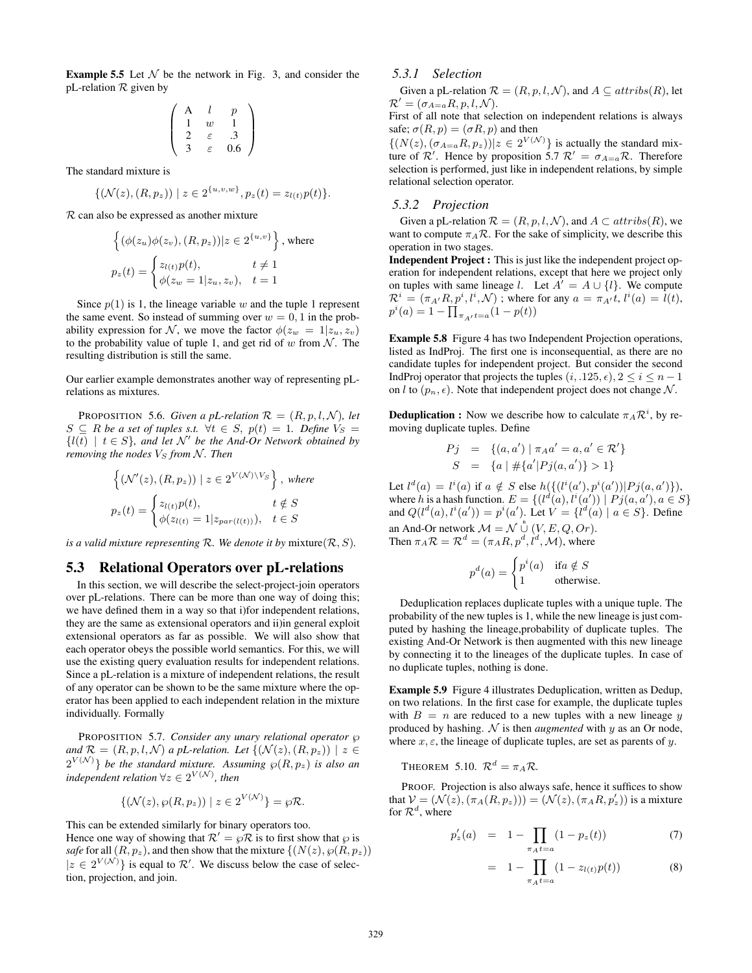**Example 5.5** Let  $N$  be the network in Fig. 3, and consider the pL-relation  $R$  given by

$$
\left(\begin{array}{ccc}\nA & l & p \\
1 & w & 1 \\
2 & \varepsilon & 0.3 \\
3 & \varepsilon & 0.6\n\end{array}\right)
$$

The standard mixture is

$$
\{(\mathcal{N}(z), (R, p_z)) \mid z \in 2^{\{u, v, w\}}, p_z(t) = z_{l(t)} p(t)\}.
$$

R can also be expressed as another mixture

$$
\left\{ (\phi(z_u)\phi(z_v), (R, p_z)) | z \in 2^{\{u, v\}} \right\}, \text{where}
$$

$$
p_z(t) = \begin{cases} z_{l(t)}p(t), & t \neq 1 \\ \phi(z_w = 1 | z_u, z_v), & t = 1 \end{cases}
$$

Since  $p(1)$  is 1, the lineage variable w and the tuple 1 represent the same event. So instead of summing over  $w = 0, 1$  in the probability expression for N, we move the factor  $\phi(z_w = 1 | z_u, z_v)$ to the probability value of tuple 1, and get rid of  $w$  from  $N$ . The resulting distribution is still the same.

Our earlier example demonstrates another way of representing pLrelations as mixtures.

PROPOSITION 5.6. *Given a pL-relation*  $\mathcal{R} = (R, p, l, \mathcal{N})$ *, let*  $S \subseteq R$  *be a set of tuples s.t.*  $\forall t \in S$ ,  $p(t) = 1$ *. Define*  $V_S =$  $\{l(t) \mid t \in S\}$ , and let N' be the And-Or Network obtained by *removing the nodes*  $V<sub>S</sub>$  *from*  $N$ *. Then* 

$$
\left\{ (\mathcal{N}'(z), (R, p_z)) \mid z \in 2^{V(\mathcal{N}) \setminus V_S} \right\}, \text{ where}
$$

$$
p_z(t) = \begin{cases} z_{l(t)} p(t), & t \notin S \\ \phi(z_{l(t)} = 1 | z_{par(l(t))}), & t \in S \end{cases}
$$

*is a valid mixture representing*  $\mathcal{R}$ *. We denote it by mixture* $(\mathcal{R}, S)$ *.* 

# 5.3 Relational Operators over pL-relations

In this section, we will describe the select-project-join operators over pL-relations. There can be more than one way of doing this; we have defined them in a way so that i)for independent relations, they are the same as extensional operators and ii)in general exploit extensional operators as far as possible. We will also show that each operator obeys the possible world semantics. For this, we will use the existing query evaluation results for independent relations. Since a pL-relation is a mixture of independent relations, the result of any operator can be shown to be the same mixture where the operator has been applied to each independent relation in the mixture individually. Formally

PROPOSITION 5.7. *Consider any unary relational operator*  $\wp$ *and*  $\mathcal{R} = (R, p, l, \mathcal{N})$  *a pL-relation. Let*  $\{(\mathcal{N}(z), (R, p_z)) \mid z \in$  $2^{V(\mathcal{N})}\}$  be the standard mixture. Assuming  $\wp(R,p_z)$  is also an  $independent$  *relation*  $\forall z \in 2^{V(\mathcal{N})}$ , then

$$
\{(\mathcal{N}(z), \wp(R, p_z)) \mid z \in 2^{V(\mathcal{N})}\} = \wp \mathcal{R}.
$$

This can be extended similarly for binary operators too. Hence one way of showing that  $\mathcal{R}' = \wp \mathcal{R}$  is to first show that  $\wp$  is *safe* for all  $(R, p_z)$ , and then show that the mixture  $\{(N(z), \wp(R, p_z))\}$  $|z \in 2^{V(N)}\}$  is equal to  $\mathcal{R}'$ . We discuss below the case of selection, projection, and join.

### *5.3.1 Selection*

Given a pL-relation  $\mathcal{R} = (R, p, l, \mathcal{N})$ , and  $A \subseteq attributes(R)$ , let  $\mathcal{R}' = (\sigma_{A=a} R, p, l, \mathcal{N}).$ 

First of all note that selection on independent relations is always safe;  $\sigma(R, p) = (\sigma R, p)$  and then

 $\{(N(z),(\sigma_{A=a}R,p_z))|z\in 2^{V(\mathcal{N})}\}\$ is actually the standard mixture of  $\mathcal{R}'$ . Hence by proposition 5.7  $\mathcal{R}' = \sigma_{A=a} \mathcal{R}$ . Therefore selection is performed, just like in independent relations, by simple relational selection operator.

# *5.3.2 Projection*

Given a pL-relation  $\mathcal{R} = (R, p, l, \mathcal{N})$ , and  $A \subset attributes(R)$ , we want to compute  $\pi_A \mathcal{R}$ . For the sake of simplicity, we describe this operation in two stages.

Independent Project : This is just like the independent project operation for independent relations, except that here we project only on tuples with same lineage l. Let  $A^{\dagger} = A \cup \{l\}$ . We compute  $\mathcal{R}^i = (\pi_{A'}R, p^i, l^i, \mathcal{N})$ ; where for any  $a = \pi_{A'}t, l^i(a) = l(t)$ ,  $p^{i}(a) = 1 - \prod_{\pi_{A'}t=a}(1-p(t))$ 

Example 5.8 Figure 4 has two Independent Projection operations, listed as IndProj. The first one is inconsequential, as there are no candidate tuples for independent project. But consider the second IndProj operator that projects the tuples  $(i, .125, \epsilon), 2 \le i \le n - 1$ on l to  $(p_n, \epsilon)$ . Note that independent project does not change N.

**Deduplication :** Now we describe how to calculate  $\pi_A \mathcal{R}^i$ , by removing duplicate tuples. Define

$$
Pj = \{(a, a') \mid \pi_A a' = a, a' \in \mathcal{R}'\}
$$
  

$$
S = \{a \mid \#\{a'|Pj(a, a')\} > 1\}
$$

Let  $l^d(a) = l^i(a)$  if  $a \notin S$  else  $h({l^i(a'), p^i(a'))} |Pj(a, a')\},$ where h is a hash function.  $E = \{ (l^d(a), l^i(a')) \mid Pj(a, a'), a \in S \}$ and  $Q(l^d(a), l^i(a')) = p^i(a')$ . Let  $V = \{l^d(a) | a \in S\}$ . Define an And-Or network  $\mathcal{M} = \mathcal{N} \overset{n}{\cup} (V, E, Q, Or)$ . Then  $\pi_A \mathcal{R} = \mathcal{R}^d = (\pi_A R, p^d, l^d, \mathcal{M})$ , where

$$
p^{d}(a) = \begin{cases} p^{i}(a) & \text{if } a \notin S \\ 1 & \text{otherwise.} \end{cases}
$$

Deduplication replaces duplicate tuples with a unique tuple. The probability of the new tuples is 1, while the new lineage is just computed by hashing the lineage,probability of duplicate tuples. The existing And-Or Network is then augmented with this new lineage by connecting it to the lineages of the duplicate tuples. In case of no duplicate tuples, nothing is done.

Example 5.9 Figure 4 illustrates Deduplication, written as Dedup, on two relations. In the first case for example, the duplicate tuples with  $B = n$  are reduced to a new tuples with a new lineage y produced by hashing.  $N$  is then *augmented* with  $y$  as an Or node, where  $x, \varepsilon$ , the lineage of duplicate tuples, are set as parents of y.

# THEOREM 5.10.  $\mathcal{R}^d = \pi_A \mathcal{R}$ .

PROOF. Projection is also always safe, hence it suffices to show that  $V = (\mathcal{N}(z), (\pi_A(R, p_z))) = (\mathcal{N}(z), (\pi_A R, p_z'))$  is a mixture for  $\mathcal{R}^d$ , where

$$
p'_z(a) = 1 - \prod_{\pi_A t = a} (1 - p_z(t)) \tag{7}
$$

$$
= 1 - \prod_{\pi_A t = a} (1 - z_{l(t)} p(t)) \tag{8}
$$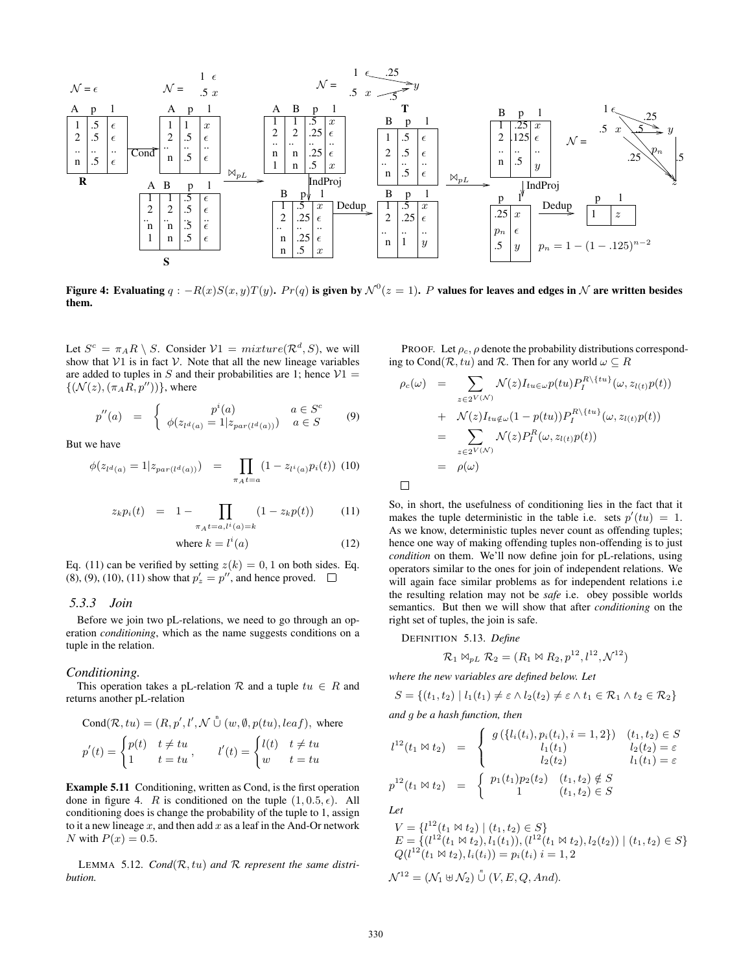

Figure 4: Evaluating  $q: -R(x)S(x,y)T(y)$ .  $Pr(q)$  is given by  $\mathcal{N}^0(z=1)$ . P values for leaves and edges in  $\mathcal N$  are written besides them.

Let  $S^c = \pi_A R \setminus S$ . Consider  $V1 = mixture(\mathcal{R}^d, S)$ , we will show that  $V1$  is in fact  $V$ . Note that all the new lineage variables are added to tuples in S and their probabilities are 1; hence  $V1 =$  $\{(\mathcal{N}(z),(\pi_A R, p''))\}$ , where

$$
p''(a) = \begin{cases} p^{i}(a) & a \in S^{c} \\ \phi(z_{l^{d}(a)} = 1 | z_{par(l^{d}(a))}) & a \in S \end{cases}
$$
 (9)

But we have

$$
\phi(z_{l^d(a)} = 1 | z_{par(l^d(a))}) = \prod_{\pi_A t = a} (1 - z_{l^i(a)} p_i(t)) \tag{10}
$$

$$
z_k p_i(t) = 1 - \prod_{\pi_A t = a, l^i(a) = k} (1 - z_k p(t)) \tag{11}
$$

where 
$$
k = l^i(a)
$$
 (12)

Eq. (11) can be verified by setting  $z(k) = 0, 1$  on both sides. Eq. (8), (9), (10), (11) show that  $p'_z = p''$ , and hence proved.

### *5.3.3 Join*

Before we join two pL-relations, we need to go through an operation *conditioning*, which as the name suggests conditions on a tuple in the relation.

#### *Conditioning.*

This operation takes a pL-relation  $R$  and a tuple  $tu \in R$  and returns another pL-relation

$$
Cond(\mathcal{R}, tu) = (R, p', l', \mathcal{N} \overset{v}{\cup} (w, \emptyset, p(tu), leaf), \text{ where}
$$
  

$$
p'(t) = \begin{cases} p(t) & t \neq tu \\ 1 & t = tu \end{cases}, \qquad l'(t) = \begin{cases} l(t) & t \neq tu \\ w & t = tu \end{cases}
$$

Example 5.11 Conditioning, written as Cond, is the first operation done in figure 4. R is conditioned on the tuple  $(1, 0.5, \epsilon)$ . All conditioning does is change the probability of the tuple to 1, assign to it a new lineage  $x$ , and then add  $x$  as a leaf in the And-Or network N with  $P(x) = 0.5$ .

LEMMA 5.12. *Cond*(R, tu) *and* R *represent the same distribution.*

PROOF. Let  $\rho_c$ ,  $\rho$  denote the probability distributions corresponding to Cond( $\mathcal{R}$ , tu) and  $\mathcal{R}$ . Then for any world  $\omega \subseteq R$ 

$$
\rho_c(\omega) = \sum_{z \in 2^{V(\mathcal{N})}} \mathcal{N}(z) I_{tu \in \omega} p(tu) P_I^{R \setminus \{tu\}}(\omega, z_{l(t)} p(t))
$$
  
+ 
$$
\mathcal{N}(z) I_{tu \notin \omega} (1 - p(tu)) P_I^{R \setminus \{tu\}}(\omega, z_{l(t)} p(t))
$$
  
= 
$$
\sum_{z \in 2^{V(\mathcal{N})}} \mathcal{N}(z) P_I^R(\omega, z_{l(t)} p(t))
$$
  
= 
$$
\rho(\omega)
$$

So, in short, the usefulness of conditioning lies in the fact that it makes the tuple deterministic in the table i.e. sets  $p'(tu) = 1$ . As we know, deterministic tuples never count as offending tuples; hence one way of making offending tuples non-offending is to just *condition* on them. We'll now define join for pL-relations, using operators similar to the ones for join of independent relations. We will again face similar problems as for independent relations i.e the resulting relation may not be *safe* i.e. obey possible worlds semantics. But then we will show that after *conditioning* on the right set of tuples, the join is safe.

DEFINITION 5.13. *Define*

$$
\mathcal{R}_1 \bowtie_{pL} \mathcal{R}_2 = (R_1 \bowtie R_2, p^{12}, l^{12}, \mathcal{N}^{12})
$$

*where the new variables are defined below. Let*

$$
S = \{(t_1, t_2) \mid l_1(t_1) \neq \varepsilon \land l_2(t_2) \neq \varepsilon \land t_1 \in \mathcal{R}_1 \land t_2 \in \mathcal{R}_2\}
$$

*and* g *be a hash function, then*

$$
l^{12}(t_1 \bowtie t_2) = \begin{cases} g(\lbrace l_i(t_i), p_i(t_i), i = 1, 2 \rbrace) & (t_1, t_2) \in S \\ l_1(t_1) & l_2(t_2) = \varepsilon \\ l_2(t_2) & l_1(t_1) = \varepsilon \end{cases}
$$
  

$$
p^{12}(t_1 \bowtie t_2) = \begin{cases} p_1(t_1) p_2(t_2) & (t_1, t_2) \notin S \\ 1 & (t_1, t_2) \in S \end{cases}
$$
  
Let

*Let*

$$
V = \{l^{12}(t_1 \bowtie t_2) \mid (t_1, t_2) \in S\}
$$
  
\n
$$
E = \{(l^{12}(t_1 \bowtie t_2), l_1(t_1)), (l^{12}(t_1 \bowtie t_2), l_2(t_2)) \mid (t_1, t_2) \in S\}
$$
  
\n
$$
Q(l^{12}(t_1 \bowtie t_2), l_i(t_i)) = p_i(t_i) \ i = 1, 2
$$

 $\mathcal{N}^{12} = (\mathcal{N}_1 \uplus \mathcal{N}_2) \overset{\textit{n}}{\cup} (V, E, Q, And).$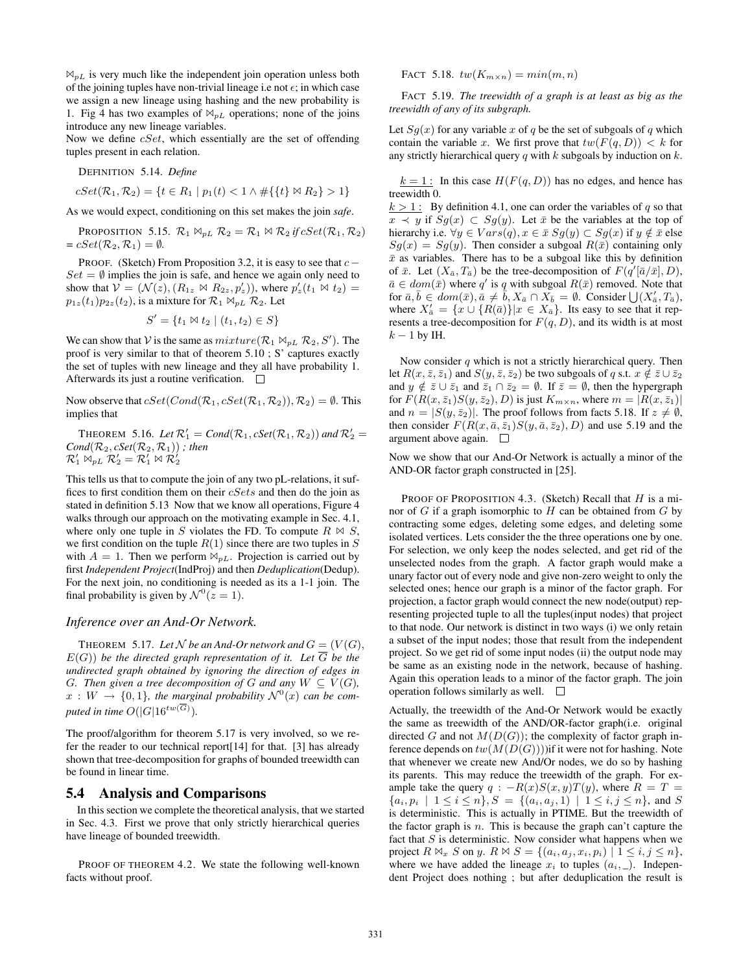$\mathbb{N}_{p}$  is very much like the independent join operation unless both of the joining tuples have non-trivial lineage i.e not  $\epsilon$ ; in which case we assign a new lineage using hashing and the new probability is 1. Fig 4 has two examples of  $\mathbb{M}_{p}$  operations; none of the joins introduce any new lineage variables.

Now we define  $cSet$ , which essentially are the set of offending tuples present in each relation.

DEFINITION 5.14. *Define*

$$
cSet(\mathcal{R}_1, \mathcal{R}_2) = \{ t \in R_1 \mid p_1(t) < 1 \land \# \{ \{ t \} \bowtie R_2 \} > 1 \}
$$

As we would expect, conditioning on this set makes the join *safe*.

PROPOSITION 5.15.  $\mathcal{R}_1 \Join_{p} \mathcal{R}_2 = \mathcal{R}_1 \Join \mathcal{R}_2$  *if*  $cSet(\mathcal{R}_1, \mathcal{R}_2)$  $= cSet(\mathcal{R}_2, \mathcal{R}_1) = \emptyset.$ 

PROOF. (Sketch) From Proposition 3.2, it is easy to see that  $c Set = \emptyset$  implies the join is safe, and hence we again only need to show that  $V = (N(z), (R_{1z} \bowtie R_{2z}, p'_z))$ , where  $p'_z(t_1 \bowtie t_2) =$  $p_{1z}(t_1)p_{2z}(t_2)$ , is a mixture for  $\mathcal{R}_1 \bowtie_{pL} \mathcal{R}_2$ . Let

$$
S' = \{ t_1 \bowtie t_2 \mid (t_1, t_2) \in S \}
$$

We can show that V is the same as  $mixture(\mathcal{R}_1 \bowtie_{pL} \mathcal{R}_2, S')$ . The proof is very similar to that of theorem 5.10 ; S' captures exactly the set of tuples with new lineage and they all have probability 1. Afterwards its just a routine verification.  $\Box$ 

Now observe that  $cSet(Cond(\mathcal{R}_1, cSet(\mathcal{R}_1, \mathcal{R}_2)), \mathcal{R}_2) = \emptyset$ . This implies that

**THEOREM** 5.16. Let  $\mathcal{R}'_1 = Cond(\mathcal{R}_1, cSet(\mathcal{R}_1, \mathcal{R}_2))$  and  $\mathcal{R}'_2 =$  $Cond(\mathcal{R}_2, cSet(\mathcal{R}_2, \mathcal{R}_1))$ ; then  $\mathcal{R}_{1}^{\prime}\rtimes_{pL}\mathcal{R}_{2}^{\prime}=\mathcal{R}_{1}^{\prime}\rtimes\mathcal{R}_{2}^{\prime}$ 

This tells us that to compute the join of any two pL-relations, it suffices to first condition them on their cSets and then do the join as stated in definition 5.13 Now that we know all operations, Figure 4 walks through our approach on the motivating example in Sec. 4.1, where only one tuple in S violates the FD. To compute  $R \bowtie S$ , we first condition on the tuple  $R(1)$  since there are two tuples in S with  $A = 1$ . Then we perform  $\mathbb{M}_{pL}$ . Projection is carried out by first *Independent Project*(IndProj) and then *Deduplication*(Dedup). For the next join, no conditioning is needed as its a 1-1 join. The final probability is given by  $\mathcal{N}^0(z=1)$ .

#### *Inference over an And-Or Network.*

THEOREM 5.17. Let N be an And-Or network and  $G = (V(G),$ E(G)) *be the directed graph representation of it. Let* G *be the undirected graph obtained by ignoring the direction of edges in G.* Then given a tree decomposition of G and any  $W \subseteq V(G)$ ,  $x: W \to \{0,1\}$ , the marginal probability  $\mathcal{N}^{0}(x)$  can be com*puted in time*  $O(|G|16^{tw(G)})$ .

The proof/algorithm for theorem 5.17 is very involved, so we refer the reader to our technical report[14] for that. [3] has already shown that tree-decomposition for graphs of bounded treewidth can be found in linear time.

#### 5.4 Analysis and Comparisons

In this section we complete the theoretical analysis, that we started in Sec. 4.3. First we prove that only strictly hierarchical queries have lineage of bounded treewidth.

PROOF OF THEOREM 4.2. We state the following well-known facts without proof.

FACT 5.18.  $tw(K_{m \times n}) = min(m, n)$ 

FACT 5.19. *The treewidth of a graph is at least as big as the treewidth of any of its subgraph.*

Let  $Sg(x)$  for any variable x of q be the set of subgoals of q which contain the variable x. We first prove that  $tw(F(q, D)) < k$  for any strictly hierarchical query  $q$  with  $k$  subgoals by induction on  $k$ .

 $k = 1$ : In this case  $H(F(q, D))$  has no edges, and hence has treewidth 0.

 $k > 1$ : By definition 4.1, one can order the variables of q so that  $x \prec y$  if  $Sg(x) \subset Sg(y)$ . Let  $\bar{x}$  be the variables at the top of hierarchy i.e.  $\forall y \in Vars(q), x \in \bar{x} Sg(y) \subset Sg(x)$  if  $y \notin \bar{x}$  else  $Sg(x) = Sg(y)$ . Then consider a subgoal  $R(\bar{x})$  containing only  $\bar{x}$  as variables. There has to be a subgoal like this by definition of  $\bar{x}$ . Let  $(X_{\bar{a}}, T_{\bar{a}})$  be the tree-decomposition of  $F(q'[\bar{a}/\bar{x}], D)$ ,  $\bar{a} \in dom(\bar{x})$  where q' is q with subgoal  $R(\bar{x})$  removed. Note that for  $\bar{a}, \bar{b} \in dom(\bar{x}), \bar{a} \neq \bar{b}, X_{\bar{a}} \cap X_{\bar{b}} = \emptyset$ . Consider  $\bigcup (X'_{\bar{a}}, T_{\bar{a}}),$ where  $X'_{\bar{a}} = \{x \cup \{R(\bar{a})\}|x \in X_{\bar{a}}\}$ . Its easy to see that it represents a tree-decomposition for  $F(q, D)$ , and its width is at most  $k-1$  by IH.

Now consider  $q$  which is not a strictly hierarchical query. Then let  $R(x, \bar{z}, \bar{z}_1)$  and  $S(y, \bar{z}, \bar{z}_2)$  be two subgoals of q s.t.  $x \notin \bar{z} \cup \bar{z}_2$ and  $y \notin \overline{z} \cup \overline{z}_1$  and  $\overline{z}_1 \cap \overline{z}_2 = \emptyset$ . If  $\overline{z} = \emptyset$ , then the hypergraph for  $F(R(x, \bar{z}_1)S(y, \bar{z}_2), D)$  is just  $K_{m \times n}$ , where  $m = |R(x, \bar{z}_1)|$ and  $n = |S(y, \bar{z}_2)|$ . The proof follows from facts 5.18. If  $z \neq \emptyset$ , then consider  $F(R(x, \bar{a}, \bar{z}_1)S(y, \bar{a}, \bar{z}_2), D)$  and use 5.19 and the argument above again.  $\square$ 

Now we show that our And-Or Network is actually a minor of the AND-OR factor graph constructed in [25].

PROOF OF PROPOSITION 4.3. (Sketch) Recall that  $H$  is a minor of  $G$  if a graph isomorphic to  $H$  can be obtained from  $G$  by contracting some edges, deleting some edges, and deleting some isolated vertices. Lets consider the the three operations one by one. For selection, we only keep the nodes selected, and get rid of the unselected nodes from the graph. A factor graph would make a unary factor out of every node and give non-zero weight to only the selected ones; hence our graph is a minor of the factor graph. For projection, a factor graph would connect the new node(output) representing projected tuple to all the tuples(input nodes) that project to that node. Our network is distinct in two ways (i) we only retain a subset of the input nodes; those that result from the independent project. So we get rid of some input nodes (ii) the output node may be same as an existing node in the network, because of hashing. Again this operation leads to a minor of the factor graph. The join operation follows similarly as well.  $\Box$ 

Actually, the treewidth of the And-Or Network would be exactly the same as treewidth of the AND/OR-factor graph(i.e. original directed G and not  $M(D(G))$ ; the complexity of factor graph inference depends on  $tw(M(D(G))))$  if it were not for hashing. Note that whenever we create new And/Or nodes, we do so by hashing its parents. This may reduce the treewidth of the graph. For example take the query  $q : -R(x)S(x, y)T(y)$ , where  $R = T =$  $\{a_i, p_i \mid 1 \leq i \leq n\}, S = \{(a_i, a_j, 1) \mid 1 \leq i, j \leq n\}, \text{ and } S$ is deterministic. This is actually in PTIME. But the treewidth of the factor graph is  $n$ . This is because the graph can't capture the fact that  $S$  is deterministic. Now consider what happens when we project  $R \bowtie_x S$  on y.  $R \bowtie S = \{(a_i, a_j, x_i, p_i) \mid 1 \leq i, j \leq n\},\$ where we have added the lineage  $x_i$  to tuples  $(a_i, \_)$ . Independent Project does nothing ; but after deduplication the result is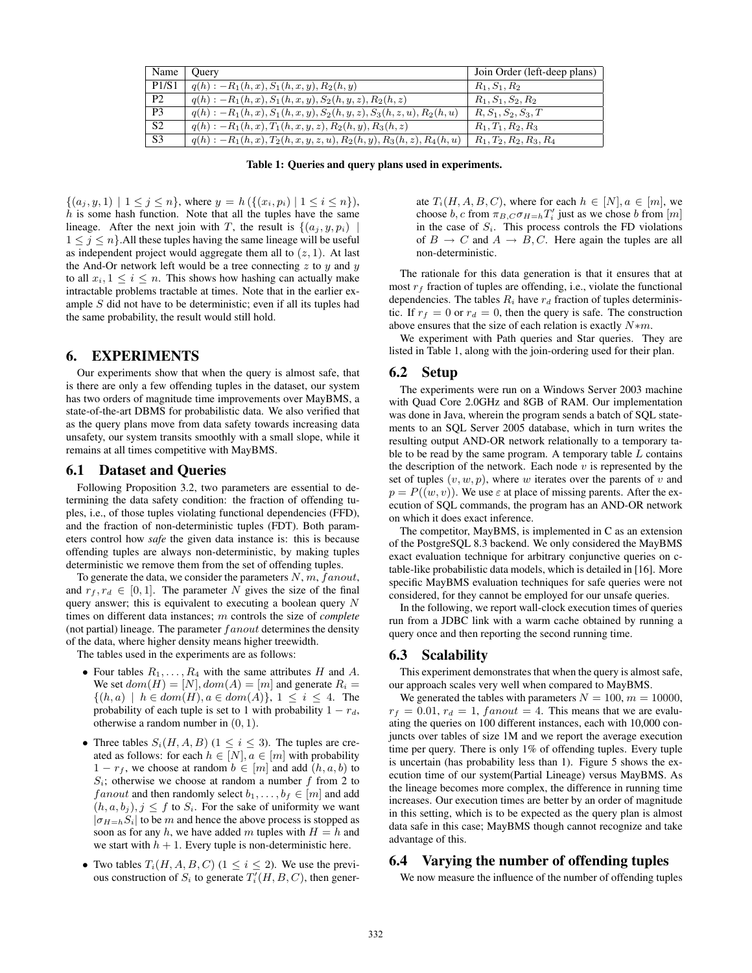| Name           | Juerv                                                                    | Join Order (left-deep plans) |
|----------------|--------------------------------------------------------------------------|------------------------------|
| P1/S1          | $q(h) : -R_1(h,x), S_1(h,x,y), R_2(h,y)$                                 | $R_1, S_1, R_2$              |
| P <sub>2</sub> | $q(h) : -R_1(h, x), S_1(h, x, y), S_2(h, y, z), R_2(h, z)$               | $R_1, S_1, S_2, R_2$         |
| P <sub>3</sub> | $q(h) : -R_1(h, x), S_1(h, x, y), S_2(h, y, z), S_3(h, z, u), R_2(h, u)$ | $R, S_1, S_2, S_3, T$        |
| S <sub>2</sub> | $q(h) : -R_1(h,x), T_1(h,x,y,z), R_2(h,y), R_3(h,z)$                     | $R_1, T_1, R_2, R_3$         |
| S <sub>3</sub> | $q(h) : -R_1(h,x), T_2(h,x,y,z,u), R_2(h,y), R_3(h,z), R_4(h,u)$         | $R_1, T_2, R_2, R_3, R_4$    |

Table 1: Queries and query plans used in experiments.

 $\{(a_j, y, 1) \mid 1 \leq j \leq n\}$ , where  $y = h(\{(x_i, p_i) \mid 1 \leq i \leq n\})$ ,  $h$  is some hash function. Note that all the tuples have the same lineage. After the next join with T, the result is  $\{(a_i, y, p_i)\}$  $1 \leq j \leq n$ . All these tuples having the same lineage will be useful as independent project would aggregate them all to  $(z, 1)$ . At last the And-Or network left would be a tree connecting z to  $y$  and  $y$ to all  $x_i, 1 \leq i \leq n$ . This shows how hashing can actually make intractable problems tractable at times. Note that in the earlier example S did not have to be deterministic; even if all its tuples had the same probability, the result would still hold.

# 6. EXPERIMENTS

Our experiments show that when the query is almost safe, that is there are only a few offending tuples in the dataset, our system has two orders of magnitude time improvements over MayBMS, a state-of-the-art DBMS for probabilistic data. We also verified that as the query plans move from data safety towards increasing data unsafety, our system transits smoothly with a small slope, while it remains at all times competitive with MayBMS.

#### 6.1 Dataset and Queries

Following Proposition 3.2, two parameters are essential to determining the data safety condition: the fraction of offending tuples, i.e., of those tuples violating functional dependencies (FFD), and the fraction of non-deterministic tuples (FDT). Both parameters control how *safe* the given data instance is: this is because offending tuples are always non-deterministic, by making tuples deterministic we remove them from the set of offending tuples.

To generate the data, we consider the parameters  $N, m, fanout$ , and  $r_f, r_d \in [0, 1]$ . The parameter N gives the size of the final query answer; this is equivalent to executing a boolean query N times on different data instances; m controls the size of *complete* (not partial) lineage. The parameter  $fanout$  determines the density of the data, where higher density means higher treewidth.

The tables used in the experiments are as follows:

- Four tables  $R_1, \ldots, R_4$  with the same attributes H and A. We set  $dom(H) = [N], dom(A) = [m]$  and generate  $R_i =$  $\{(h, a) \mid h \in dom(H), a \in dom(A)\}, 1 \leq i \leq 4.$  The probability of each tuple is set to 1 with probability  $1 - r_d$ , otherwise a random number in (0, 1).
- Three tables  $S_i(H, A, B)$  ( $1 \leq i \leq 3$ ). The tuples are created as follows: for each  $h \in [N], a \in [m]$  with probability  $1 - r_f$ , we choose at random  $b \in [m]$  and add  $(h, a, b)$  to  $S_i$ ; otherwise we choose at random a number f from 2 to f anout and then randomly select  $b_1, \ldots, b_f \in [m]$  and add  $(h, a, b_i), j \leq f$  to  $S_i$ . For the sake of uniformity we want  $|\sigma_{H=h}S_i|$  to be m and hence the above process is stopped as soon as for any h, we have added m tuples with  $H = h$  and we start with  $h + 1$ . Every tuple is non-deterministic here.
- Two tables  $T_i(H, A, B, C)$  ( $1 \leq i \leq 2$ ). We use the previous construction of  $S_i$  to generate  $T_i'(H, B, C)$ , then gener-

ate  $T_i(H, A, B, C)$ , where for each  $h \in [N], a \in [m]$ , we choose  $b, c$  from  $\pi_{B,C} \sigma_{H=h} T'_i$  just as we chose b from  $[m]$ in the case of  $S_i$ . This process controls the FD violations of  $B \to C$  and  $A \to B, C$ . Here again the tuples are all non-deterministic.

The rationale for this data generation is that it ensures that at most  $r_f$  fraction of tuples are offending, i.e., violate the functional dependencies. The tables  $R_i$  have  $r_d$  fraction of tuples deterministic. If  $r_f = 0$  or  $r_d = 0$ , then the query is safe. The construction above ensures that the size of each relation is exactly  $N*m$ .

We experiment with Path queries and Star queries. They are listed in Table 1, along with the join-ordering used for their plan.

### 6.2 Setup

The experiments were run on a Windows Server 2003 machine with Quad Core 2.0GHz and 8GB of RAM. Our implementation was done in Java, wherein the program sends a batch of SQL statements to an SQL Server 2005 database, which in turn writes the resulting output AND-OR network relationally to a temporary table to be read by the same program. A temporary table  $L$  contains the description of the network. Each node  $v$  is represented by the set of tuples  $(v, w, p)$ , where w iterates over the parents of v and  $p = P((w, v))$ . We use  $\varepsilon$  at place of missing parents. After the execution of SQL commands, the program has an AND-OR network on which it does exact inference.

The competitor, MayBMS, is implemented in C as an extension of the PostgreSQL 8.3 backend. We only considered the MayBMS exact evaluation technique for arbitrary conjunctive queries on ctable-like probabilistic data models, which is detailed in [16]. More specific MayBMS evaluation techniques for safe queries were not considered, for they cannot be employed for our unsafe queries.

In the following, we report wall-clock execution times of queries run from a JDBC link with a warm cache obtained by running a query once and then reporting the second running time.

# 6.3 Scalability

This experiment demonstrates that when the query is almost safe, our approach scales very well when compared to MayBMS.

We generated the tables with parameters  $N = 100$ ,  $m = 10000$ ,  $r_f = 0.01$ ,  $r_d = 1$ ,  $fanout = 4$ . This means that we are evaluating the queries on 100 different instances, each with 10,000 conjuncts over tables of size 1M and we report the average execution time per query. There is only 1% of offending tuples. Every tuple is uncertain (has probability less than 1). Figure 5 shows the execution time of our system(Partial Lineage) versus MayBMS. As the lineage becomes more complex, the difference in running time increases. Our execution times are better by an order of magnitude in this setting, which is to be expected as the query plan is almost data safe in this case; MayBMS though cannot recognize and take advantage of this.

# 6.4 Varying the number of offending tuples

We now measure the influence of the number of offending tuples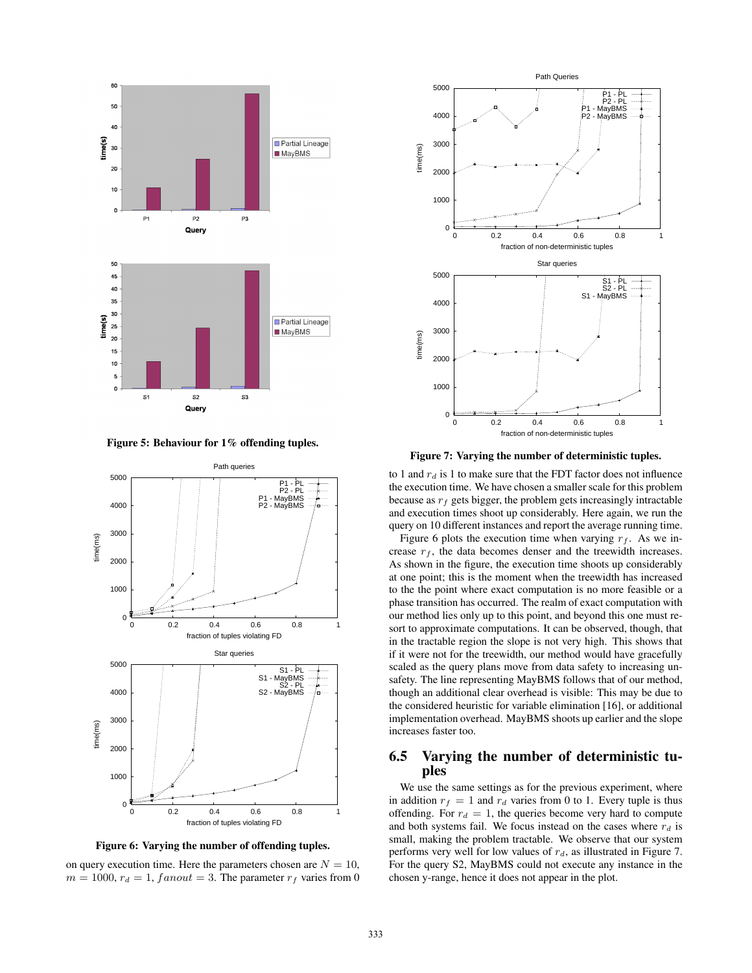

Figure 5: Behaviour for 1% offending tuples.





on query execution time. Here the parameters chosen are  $N = 10$ ,  $m = 1000$ ,  $r_d = 1$ ,  $fanout = 3$ . The parameter  $r_f$  varies from 0



Figure 7: Varying the number of deterministic tuples.

to 1 and  $r_d$  is 1 to make sure that the FDT factor does not influence the execution time. We have chosen a smaller scale for this problem because as  $r_f$  gets bigger, the problem gets increasingly intractable and execution times shoot up considerably. Here again, we run the query on 10 different instances and report the average running time.

Figure 6 plots the execution time when varying  $r_f$ . As we increase  $r_f$ , the data becomes denser and the treewidth increases. As shown in the figure, the execution time shoots up considerably at one point; this is the moment when the treewidth has increased to the the point where exact computation is no more feasible or a phase transition has occurred. The realm of exact computation with our method lies only up to this point, and beyond this one must resort to approximate computations. It can be observed, though, that in the tractable region the slope is not very high. This shows that if it were not for the treewidth, our method would have gracefully scaled as the query plans move from data safety to increasing unsafety. The line representing MayBMS follows that of our method, though an additional clear overhead is visible: This may be due to the considered heuristic for variable elimination [16], or additional implementation overhead. MayBMS shoots up earlier and the slope increases faster too.

# 6.5 Varying the number of deterministic tuples

We use the same settings as for the previous experiment, where in addition  $r_f = 1$  and  $r_d$  varies from 0 to 1. Every tuple is thus offending. For  $r_d = 1$ , the queries become very hard to compute and both systems fail. We focus instead on the cases where  $r_d$  is small, making the problem tractable. We observe that our system performs very well for low values of  $r_d$ , as illustrated in Figure 7. For the query S2, MayBMS could not execute any instance in the chosen y-range, hence it does not appear in the plot.